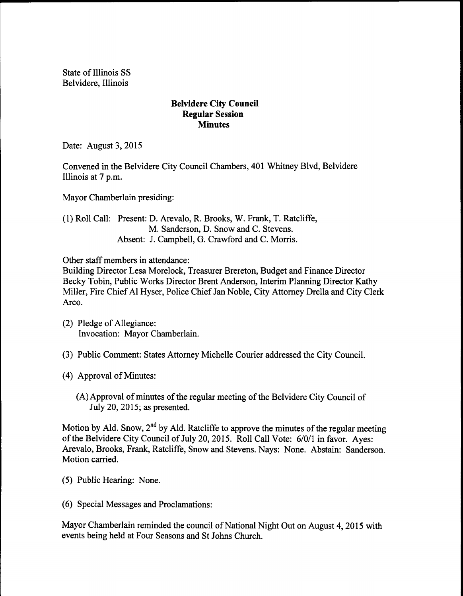State of Illinois SS Belvidere, Illinois

## Belvidere City Council Regular Session **Minutes**

Date: August 3, 2015

Convened in the Belvidere City Council Chambers, 401 Whitney Blvd, Belvidere Illinois at 7 p.m.

Mayor Chamberlain presiding:

1) Roll Call: Present: D. Arevalo, R. Brooks, W. Frank, T. Ratcliffe, M. Sanderson, D. Snow and C. Stevens. Absent: J. Campbell, G. Crawford and C. Morris.

Other staff members in attendance:

Building Director Lesa Morelock, Treasurer Brereton, Budget and Finance Director Becky Tobin, Public Works Director Brent Anderson, Interim Planning Director Kathy Miller, Fire ChiefAl Hyser, Police Chief Jan Noble, City Attorney Drella and City Clerk Arco.

- 2) Pledge of Allegiance: Invocation: Mayor Chamberlain.
- 3) Public Comment: States Attorney Michelle Courier addressed the City Council.
- 4) Approval of Minutes:
	- (A) Approval of minutes of the regular meeting of the Belvidere City Council of July 20, 2015; as presented.

Motion by Ald. Snow, 2<sup>nd</sup> by Ald. Ratcliffe to approve the minutes of the regular meeting of the Belvidere City Council of July 20, 2015. Roll Call Vote: 6/0/1 in favor. Ayes: Arevalo, Brooks, Frank, Ratcliffe, Snow and Stevens. Nays: None. Abstain: Sanderson. Motion carried.

- 5) Public Hearing: None.
- 6) Special Messages and Proclamations:

Mayor Chamberlain reminded the council of National Night Out on August 4, 2015 with events being held at Four Seasons and St Johns Church.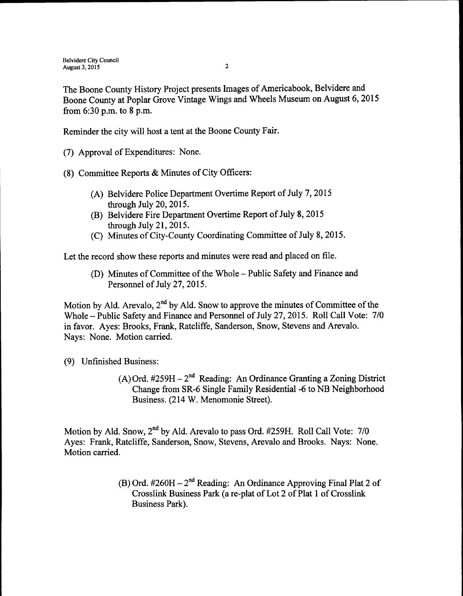The Boone County History Project presents Images of Americabook, Belvidere and Boone County at Poplar Grove Vintage Wings and Wheels Museum on August 6, 2015 from  $6:30$  p.m. to  $8$  p.m.

Reminder the city will host a tent at the Boone County Fair.

- (7) Approval of Expenditures: None.
- 8) Committee Reports & Minutes of City Officers:
	- A) Belvidere Police Department Overtime Report of July 7, 2015 through July 20, 2015.
	- B) Belvidere Fire Department Overtime Report of July 8, 2015 through July 21, 2015.
	- C) Minutes of City-County Coordinating Committee of July 8, 2015.

Let the record show these reports and minutes were read and placed on file.

(D) Minutes of Committee of the Whole – Public Safety and Finance and Personnel of July 27, 2015.

Motion by Ald. Arevalo,  $2<sup>nd</sup>$  by Ald. Snow to approve the minutes of Committee of the Whole – Public Safety and Finance and Personnel of July 27, 2015. Roll Call Vote: 7/0 in favor. Ayes: Brooks, Frank, Ratcliffe, Sanderson, Snow, Stevens and Arevalo. Nays: None. Motion carried.

- 9) Unfinished Business:
	- $(A)$ Ord. #259H 2<sup>nd</sup> Reading: An Ordinance Granting a Zoning District Change from SR-6 Single Family Residential -6 to NB Neighborhood Business. (214 W. Menomonie Street).

Motion by Ald. Snow, 2<sup>nd</sup> by Ald. Arevalo to pass Ord. #259H. Roll Call Vote: 7/0 Ayes: Frank, Ratcliffe, Sanderson, Snow, Stevens, Arevalo and Brooks. Nays: None. Motion carried.

> B) Ord. #260H – 2<sup>nd</sup> Reading: An Ordinance Approving Final Plat 2 of Crosslink Business Park (a re-plat of Lot 2 of Plat 1 of Crosslink Business Park).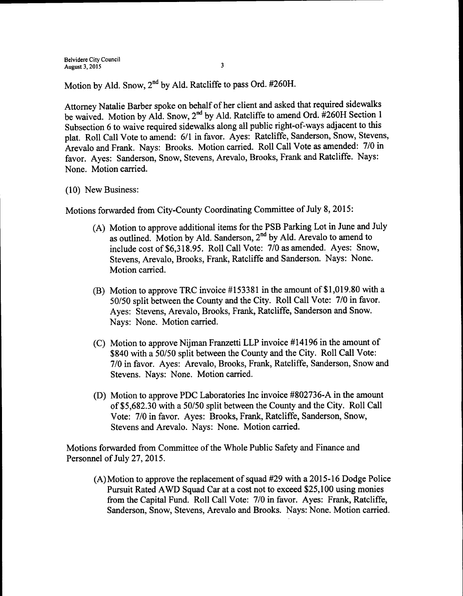Motion by Ald. Snow, 2<sup>nd</sup> by Ald. Ratcliffe to pass Ord. #260H.

Attorney Natalie Barber spoke on behalf of her client and asked that required sidewalks be waived. Motion by Ald. Snow, 2<sup>nd</sup> by Ald. Ratcliffe to amend Ord. #260H Section 1 Subsection <sup>6</sup> to waive required sidewalks along all public right-of-ways adjacent to this plat. Roll Call Vote to amend: 6/1 in favor. Ayes: Ratcliffe, Sanderson, Snow, Stevens, Arevalo and Frank. Nays: Brooks. Motion carried. Roll Call Vote as amended: 7/0 in favor. Ayes: Sanderson, Snow, Stevens, Arevalo, Brooks, Frank and Ratcliffe. Nays: None. Motion carried.

10) New Business:

Motions forwarded from City-County Coordinating Committee of July 8, 2015:

- A) Motion to approve additional items for the PSB Parking Lot in June and July as outlined. Motion by Ald. Sanderson, 2<sup>nd</sup> by Ald. Arevalo to amend to include cost of \$6,318.95. Roll Call Vote: 7/0 as amended. Ayes: Snow, Stevens, Arevalo, Brooks, Frank, Ratcliffe and Sanderson. Nays: None. Motion carried.
- (B) Motion to approve TRC invoice  $\#153381$  in the amount of \$1,019.80 with a 50/50 split between the County and the City. Roll Call Vote: 7/0 in favor. Ayes: Stevens, Arevalo, Brooks, Frank, Ratcliffe, Sanderson and Snow. Nays: None. Motion carried.
- $(C)$  Motion to approve Nijman Franzetti LLP invoice #14196 in the amount of \$840 with a 50/50 split between the County and the City. Roll Call Vote: 7/0 in favor. Ayes: Arevalo, Brooks, Frank, Ratcliffe, Sanderson, Snow and Stevens. Nays: None. Motion carried.
- D) Motion to approve PDC Laboratories Inc invoice# 802736-A in the amount of\$5, 682.30 with a 50150 split between the County and the City. Roll Call Vote: 7/0 in favor. Ayes: Brooks, Frank, Ratcliffe, Sanderson, Snow, Stevens and Arevalo. Nays: None. Motion carried.

Motions forwarded from Committee of the Whole Public Safety and Finance and Personnel of July 27, 2015.

(A) Motion to approve the replacement of squad #29 with a 2015-16 Dodge Police Pursuit Rated AWD Squad Car at a cost not to exceed \$25, 100 using monies from the Capital Fund. Roll Call Vote: 7/0 in favor. Ayes: Frank, Ratcliffe, Sanderson, Snow, Stevens, Arevalo and Brooks. Nays: None. Motion carried.